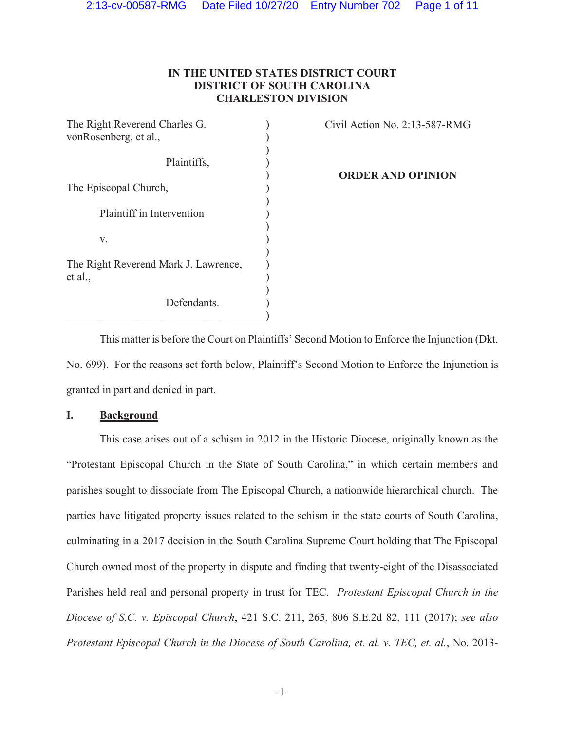## **IN THE UNITED STATES DISTRICT COURT DISTRICT OF SOUTH CAROLINA CHARLESTON DIVISION**

| The Right Reverend Charles G.                   |  |
|-------------------------------------------------|--|
| vonRosenberg, et al.,                           |  |
| Plaintiffs,                                     |  |
| The Episcopal Church,                           |  |
| Plaintiff in Intervention                       |  |
| v.                                              |  |
| The Right Reverend Mark J. Lawrence,<br>et al., |  |
| Defendants.                                     |  |

Civil Action No. 2:13-587-RMG

**ORDER AND OPINION** 

This matter is before the Court on Plaintiffs' Second Motion to Enforce the Injunction (Dkt. No. 699). For the reasons set forth below, Plaintiff's Second Motion to Enforce the Injunction is granted in part and denied in part.

## **I. Background**

This case arises out of a schism in 2012 in the Historic Diocese, originally known as the "Protestant Episcopal Church in the State of South Carolina," in which certain members and parishes sought to dissociate from The Episcopal Church, a nationwide hierarchical church. The parties have litigated property issues related to the schism in the state courts of South Carolina, culminating in a 2017 decision in the South Carolina Supreme Court holding that The Episcopal Church owned most of the property in dispute and finding that twenty-eight of the Disassociated Parishes held real and personal property in trust for TEC. *Protestant Episcopal Church in the Diocese of S.C. v. Episcopal Church*, 421 S.C. 211, 265, 806 S.E.2d 82, 111 (2017); *see also Protestant Episcopal Church in the Diocese of South Carolina, et. al. v. TEC, et. al.*, No. 2013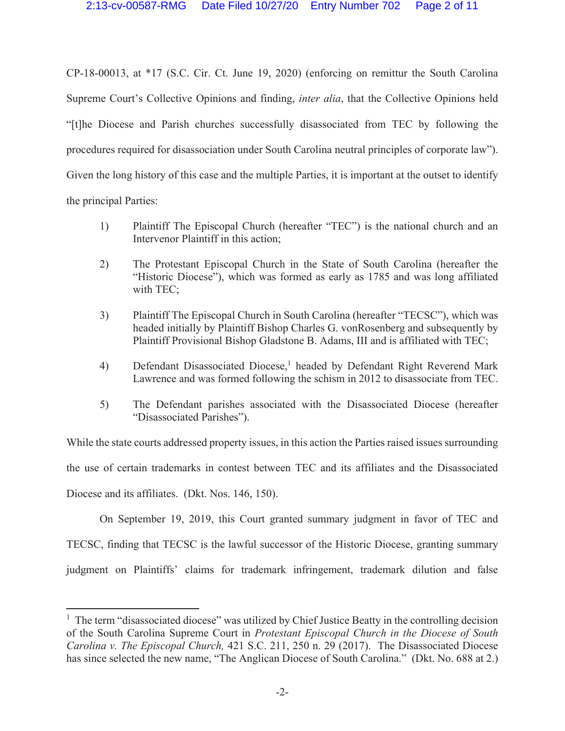CP-18-00013, at \*17 (S.C. Cir. Ct. June 19, 2020) (enforcing on remittur the South Carolina Supreme Court's Collective Opinions and finding, *inter alia*, that the Collective Opinions held "[t]he Diocese and Parish churches successfully disassociated from TEC by following the procedures required for disassociation under South Carolina neutral principles of corporate law"). Given the long history of this case and the multiple Parties, it is important at the outset to identify the principal Parties:

- 1) Plaintiff The Episcopal Church (hereafter "TEC") is the national church and an Intervenor Plaintiff in this action;
- 2) The Protestant Episcopal Church in the State of South Carolina (hereafter the "Historic Diocese"), which was formed as early as 1785 and was long affiliated with TEC;
- 3) Plaintiff The Episcopal Church in South Carolina (hereafter "TECSC"), which was headed initially by Plaintiff Bishop Charles G. vonRosenberg and subsequently by Plaintiff Provisional Bishop Gladstone B. Adams, III and is affiliated with TEC;
- 4) Defendant Disassociated Diocese,<sup>1</sup> headed by Defendant Right Reverend Mark Lawrence and was formed following the schism in 2012 to disassociate from TEC.
- 5) The Defendant parishes associated with the Disassociated Diocese (hereafter "Disassociated Parishes").

While the state courts addressed property issues, in this action the Parties raised issues surrounding the use of certain trademarks in contest between TEC and its affiliates and the Disassociated Diocese and its affiliates. (Dkt. Nos. 146, 150).

On September 19, 2019, this Court granted summary judgment in favor of TEC and TECSC, finding that TECSC is the lawful successor of the Historic Diocese, granting summary judgment on Plaintiffs' claims for trademark infringement, trademark dilution and false

<sup>&</sup>lt;sup>1</sup> The term "disassociated diocese" was utilized by Chief Justice Beatty in the controlling decision of the South Carolina Supreme Court in *Protestant Episcopal Church in the Diocese of South Carolina v. The Episcopal Church,* 421 S.C. 211, 250 n. 29 (2017). The Disassociated Diocese has since selected the new name, "The Anglican Diocese of South Carolina." (Dkt. No. 688 at 2.)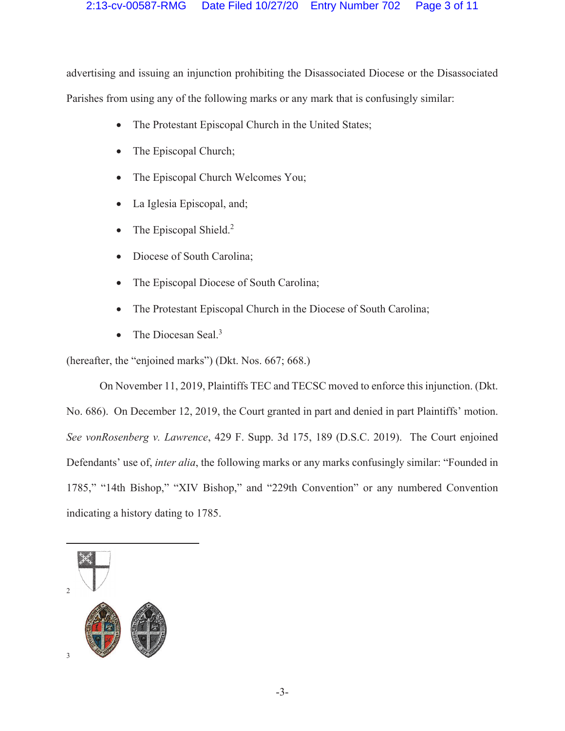advertising and issuing an injunction prohibiting the Disassociated Diocese or the Disassociated Parishes from using any of the following marks or any mark that is confusingly similar:

- The Protestant Episcopal Church in the United States;
- The Episcopal Church;
- The Episcopal Church Welcomes You;
- La Iglesia Episcopal, and;
- The Episcopal Shield.<sup>2</sup>
- Diocese of South Carolina;
- The Episcopal Diocese of South Carolina;
- The Protestant Episcopal Church in the Diocese of South Carolina;
- The Diocesan Seal. $3$

(hereafter, the "enjoined marks") (Dkt. Nos. 667; 668.)

On November 11, 2019, Plaintiffs TEC and TECSC moved to enforce this injunction. (Dkt. No. 686). On December 12, 2019, the Court granted in part and denied in part Plaintiffs' motion. *See vonRosenberg v. Lawrence*, 429 F. Supp. 3d 175, 189 (D.S.C. 2019). The Court enjoined Defendants' use of, *inter alia*, the following marks or any marks confusingly similar: "Founded in 1785," "14th Bishop," "XIV Bishop," and "229th Convention" or any numbered Convention indicating a history dating to 1785.

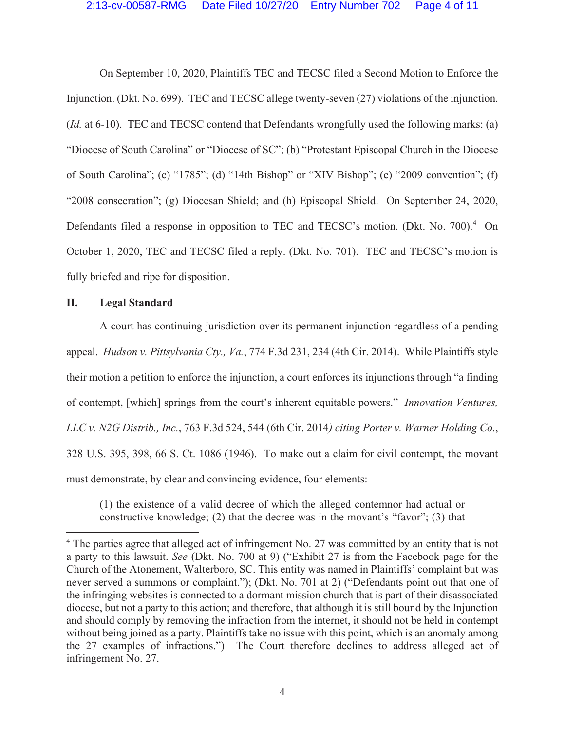On September 10, 2020, Plaintiffs TEC and TECSC filed a Second Motion to Enforce the Injunction. (Dkt. No. 699). TEC and TECSC allege twenty-seven (27) violations of the injunction. (*Id.* at 6-10). TEC and TECSC contend that Defendants wrongfully used the following marks: (a) "Diocese of South Carolina" or "Diocese of SC"; (b) "Protestant Episcopal Church in the Diocese of South Carolina"; (c) "1785"; (d) "14th Bishop" or "XIV Bishop"; (e) "2009 convention"; (f) "2008 consecration"; (g) Diocesan Shield; and (h) Episcopal Shield. On September 24, 2020, Defendants filed a response in opposition to TEC and TECSC's motion. (Dkt. No. 700).<sup>4</sup> On October 1, 2020, TEC and TECSC filed a reply. (Dkt. No. 701). TEC and TECSC's motion is fully briefed and ripe for disposition.

#### **II. Legal Standard**

A court has continuing jurisdiction over its permanent injunction regardless of a pending appeal. *Hudson v. Pittsylvania Cty., Va.*, 774 F.3d 231, 234 (4th Cir. 2014). While Plaintiffs style their motion a petition to enforce the injunction, a court enforces its injunctions through "a finding of contempt, [which] springs from the court's inherent equitable powers." *Innovation Ventures, LLC v. N2G Distrib., Inc.*, 763 F.3d 524, 544 (6th Cir. 2014*) citing Porter v. Warner Holding Co.*, 328 U.S. 395, 398, 66 S. Ct. 1086 (1946). To make out a claim for civil contempt, the movant must demonstrate, by clear and convincing evidence, four elements:

(1) the existence of a valid decree of which the alleged contemnor had actual or constructive knowledge; (2) that the decree was in the movant's "favor"; (3) that

<sup>&</sup>lt;sup>4</sup> The parties agree that alleged act of infringement No. 27 was committed by an entity that is not a party to this lawsuit. *See* (Dkt. No. 700 at 9) ("Exhibit 27 is from the Facebook page for the Church of the Atonement, Walterboro, SC. This entity was named in Plaintiffs' complaint but was never served a summons or complaint."); (Dkt. No. 701 at 2) ("Defendants point out that one of the infringing websites is connected to a dormant mission church that is part of their disassociated diocese, but not a party to this action; and therefore, that although it is still bound by the Injunction and should comply by removing the infraction from the internet, it should not be held in contempt without being joined as a party. Plaintiffs take no issue with this point, which is an anomaly among the 27 examples of infractions.") The Court therefore declines to address alleged act of infringement No. 27.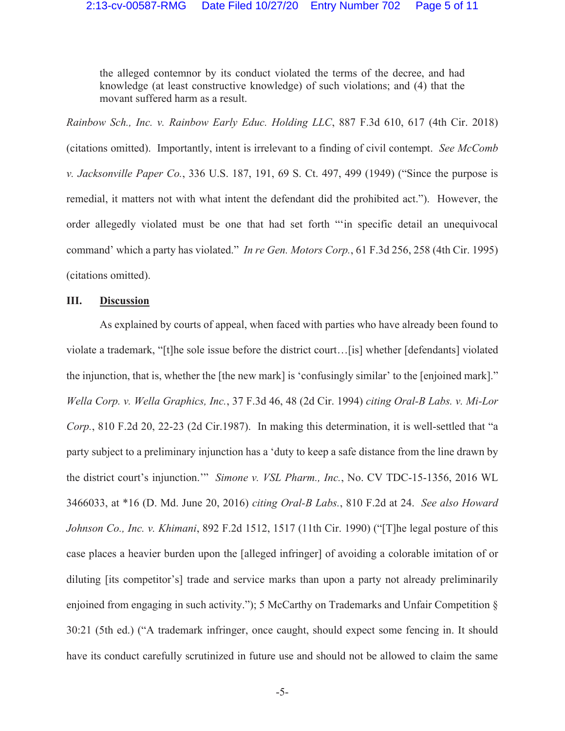the alleged contemnor by its conduct violated the terms of the decree, and had knowledge (at least constructive knowledge) of such violations; and (4) that the movant suffered harm as a result.

*Rainbow Sch., Inc. v. Rainbow Early Educ. Holding LLC*, 887 F.3d 610, 617 (4th Cir. 2018) (citations omitted). Importantly, intent is irrelevant to a finding of civil contempt. *See McComb v. Jacksonville Paper Co.*, 336 U.S. 187, 191, 69 S. Ct. 497, 499 (1949) ("Since the purpose is remedial, it matters not with what intent the defendant did the prohibited act."). However, the order allegedly violated must be one that had set forth "'in specific detail an unequivocal command' which a party has violated." *In re Gen. Motors Corp.*, 61 F.3d 256, 258 (4th Cir. 1995) (citations omitted).

### **III. Discussion**

As explained by courts of appeal, when faced with parties who have already been found to violate a trademark, "[t]he sole issue before the district court…[is] whether [defendants] violated the injunction, that is, whether the [the new mark] is 'confusingly similar' to the [enjoined mark]." *Wella Corp. v. Wella Graphics, Inc.*, 37 F.3d 46, 48 (2d Cir. 1994) *citing Oral-B Labs. v. Mi-Lor Corp.*, 810 F.2d 20, 22-23 (2d Cir.1987). In making this determination, it is well-settled that "a party subject to a preliminary injunction has a 'duty to keep a safe distance from the line drawn by the district court's injunction.'" *Simone v. VSL Pharm., Inc.*, No. CV TDC-15-1356, 2016 WL 3466033, at \*16 (D. Md. June 20, 2016) *citing Oral-B Labs.*, 810 F.2d at 24. *See also Howard Johnson Co., Inc. v. Khimani*, 892 F.2d 1512, 1517 (11th Cir. 1990) ("[T]he legal posture of this case places a heavier burden upon the [alleged infringer] of avoiding a colorable imitation of or diluting [its competitor's] trade and service marks than upon a party not already preliminarily enjoined from engaging in such activity."); 5 McCarthy on Trademarks and Unfair Competition § 30:21 (5th ed.) ("A trademark infringer, once caught, should expect some fencing in. It should have its conduct carefully scrutinized in future use and should not be allowed to claim the same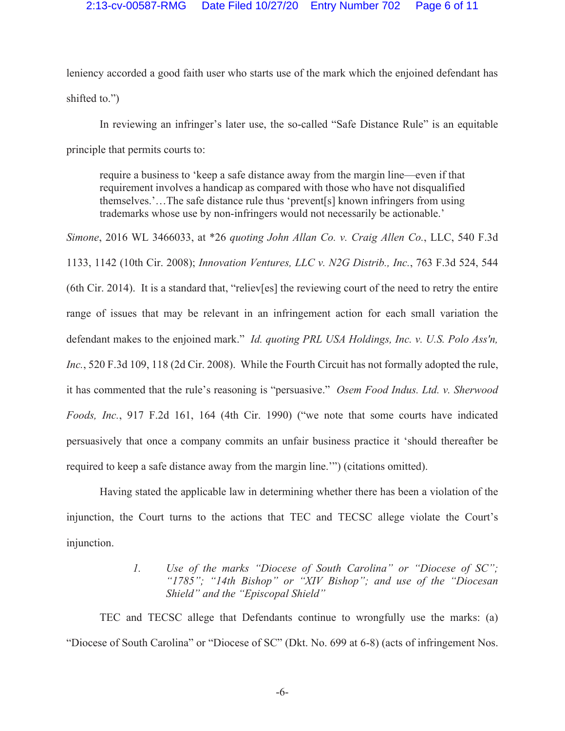leniency accorded a good faith user who starts use of the mark which the enjoined defendant has shifted to.")

In reviewing an infringer's later use, the so-called "Safe Distance Rule" is an equitable principle that permits courts to:

require a business to 'keep a safe distance away from the margin line—even if that requirement involves a handicap as compared with those who have not disqualified themselves.'…The safe distance rule thus 'prevent[s] known infringers from using trademarks whose use by non-infringers would not necessarily be actionable.'

*Simone*, 2016 WL 3466033, at \*26 *quoting John Allan Co. v. Craig Allen Co.*, LLC, 540 F.3d 1133, 1142 (10th Cir. 2008); *Innovation Ventures, LLC v. N2G Distrib., Inc.*, 763 F.3d 524, 544 (6th Cir. 2014). It is a standard that, "reliev[es] the reviewing court of the need to retry the entire range of issues that may be relevant in an infringement action for each small variation the defendant makes to the enjoined mark." *Id. quoting PRL USA Holdings, Inc. v. U.S. Polo Ass'n, Inc.*, 520 F.3d 109, 118 (2d Cir. 2008). While the Fourth Circuit has not formally adopted the rule, it has commented that the rule's reasoning is "persuasive." *Osem Food Indus. Ltd. v. Sherwood Foods, Inc.*, 917 F.2d 161, 164 (4th Cir. 1990) ("we note that some courts have indicated persuasively that once a company commits an unfair business practice it 'should thereafter be required to keep a safe distance away from the margin line.'") (citations omitted).

Having stated the applicable law in determining whether there has been a violation of the injunction, the Court turns to the actions that TEC and TECSC allege violate the Court's injunction.

# *1. Use of the marks "Diocese of South Carolina" or "Diocese of SC"; "1785"; "14th Bishop" or "XIV Bishop"; and use of the "Diocesan Shield" and the "Episcopal Shield"*

TEC and TECSC allege that Defendants continue to wrongfully use the marks: (a) "Diocese of South Carolina" or "Diocese of SC" (Dkt. No. 699 at 6-8) (acts of infringement Nos.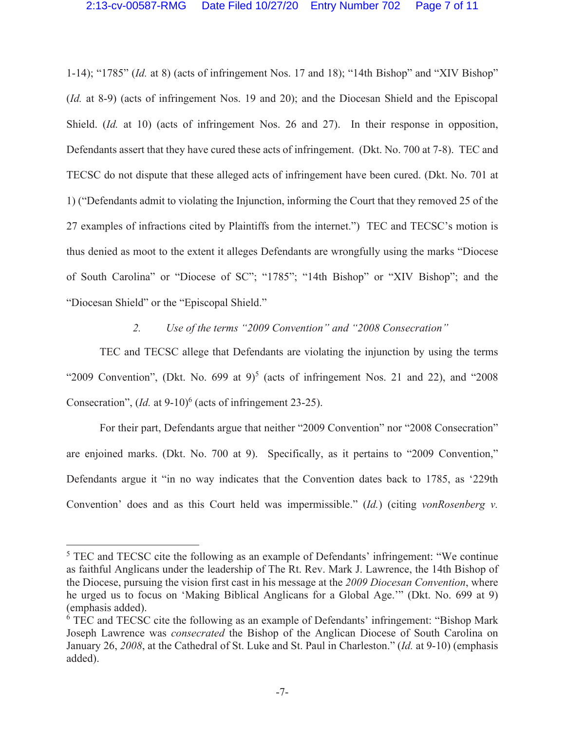1-14); "1785" (*Id.* at 8) (acts of infringement Nos. 17 and 18); "14th Bishop" and "XIV Bishop" (*Id.* at 8-9) (acts of infringement Nos. 19 and 20); and the Diocesan Shield and the Episcopal Shield. (*Id.* at 10) (acts of infringement Nos. 26 and 27). In their response in opposition, Defendants assert that they have cured these acts of infringement. (Dkt. No. 700 at 7-8). TEC and TECSC do not dispute that these alleged acts of infringement have been cured. (Dkt. No. 701 at 1) ("Defendants admit to violating the Injunction, informing the Court that they removed 25 of the 27 examples of infractions cited by Plaintiffs from the internet.") TEC and TECSC's motion is thus denied as moot to the extent it alleges Defendants are wrongfully using the marks "Diocese of South Carolina" or "Diocese of SC"; "1785"; "14th Bishop" or "XIV Bishop"; and the "Diocesan Shield" or the "Episcopal Shield."

*2. Use of the terms "2009 Convention" and "2008 Consecration"*

TEC and TECSC allege that Defendants are violating the injunction by using the terms "2009 Convention", (Dkt. No. 699 at  $9$ )<sup>5</sup> (acts of infringement Nos. 21 and 22), and "2008 Consecration",  $(Id.$  at 9-10)<sup>6</sup> (acts of infringement 23-25).

For their part, Defendants argue that neither "2009 Convention" nor "2008 Consecration" are enjoined marks. (Dkt. No. 700 at 9). Specifically, as it pertains to "2009 Convention," Defendants argue it "in no way indicates that the Convention dates back to 1785, as '229th Convention' does and as this Court held was impermissible." (*Id.*) (citing *vonRosenberg v.* 

<sup>&</sup>lt;sup>5</sup> TEC and TECSC cite the following as an example of Defendants' infringement: "We continue as faithful Anglicans under the leadership of The Rt. Rev. Mark J. Lawrence, the 14th Bishop of the Diocese, pursuing the vision first cast in his message at the *2009 Diocesan Convention*, where he urged us to focus on 'Making Biblical Anglicans for a Global Age.'" (Dkt. No. 699 at 9) (emphasis added).

<sup>&</sup>lt;sup>6</sup> TEC and TECSC cite the following as an example of Defendants' infringement: "Bishop Mark Joseph Lawrence was *consecrated* the Bishop of the Anglican Diocese of South Carolina on January 26, *2008*, at the Cathedral of St. Luke and St. Paul in Charleston." (*Id.* at 9-10) (emphasis added).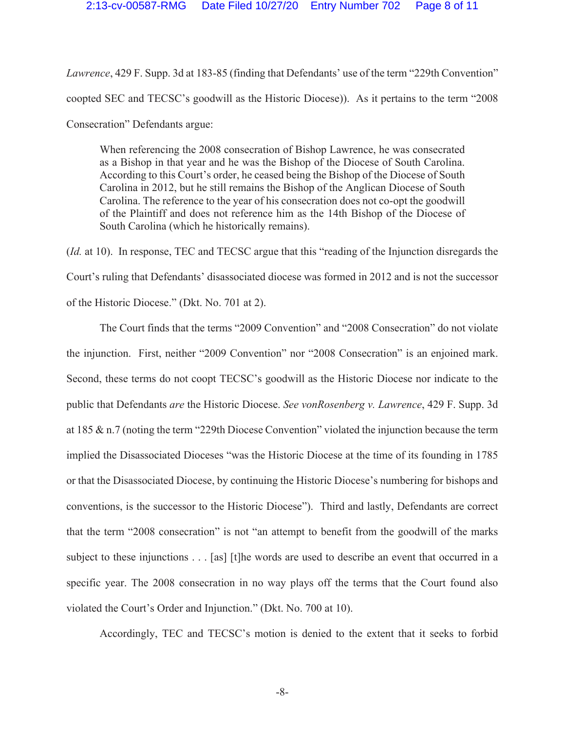*Lawrence*, 429 F. Supp. 3d at 183-85 (finding that Defendants' use of the term "229th Convention" coopted SEC and TECSC's goodwill as the Historic Diocese)). As it pertains to the term "2008 Consecration" Defendants argue:

When referencing the 2008 consecration of Bishop Lawrence, he was consecrated as a Bishop in that year and he was the Bishop of the Diocese of South Carolina. According to this Court's order, he ceased being the Bishop of the Diocese of South Carolina in 2012, but he still remains the Bishop of the Anglican Diocese of South Carolina. The reference to the year of his consecration does not co-opt the goodwill of the Plaintiff and does not reference him as the 14th Bishop of the Diocese of South Carolina (which he historically remains).

(*Id.* at 10). In response, TEC and TECSC argue that this "reading of the Injunction disregards the Court's ruling that Defendants' disassociated diocese was formed in 2012 and is not the successor of the Historic Diocese." (Dkt. No. 701 at 2).

The Court finds that the terms "2009 Convention" and "2008 Consecration" do not violate the injunction. First, neither "2009 Convention" nor "2008 Consecration" is an enjoined mark. Second, these terms do not coopt TECSC's goodwill as the Historic Diocese nor indicate to the public that Defendants *are* the Historic Diocese. *See vonRosenberg v. Lawrence*, 429 F. Supp. 3d at 185 & n.7 (noting the term "229th Diocese Convention" violated the injunction because the term implied the Disassociated Dioceses "was the Historic Diocese at the time of its founding in 1785 or that the Disassociated Diocese, by continuing the Historic Diocese's numbering for bishops and conventions, is the successor to the Historic Diocese"). Third and lastly, Defendants are correct that the term "2008 consecration" is not "an attempt to benefit from the goodwill of the marks subject to these injunctions . . . [as] [t]he words are used to describe an event that occurred in a specific year. The 2008 consecration in no way plays off the terms that the Court found also violated the Court's Order and Injunction." (Dkt. No. 700 at 10).

Accordingly, TEC and TECSC's motion is denied to the extent that it seeks to forbid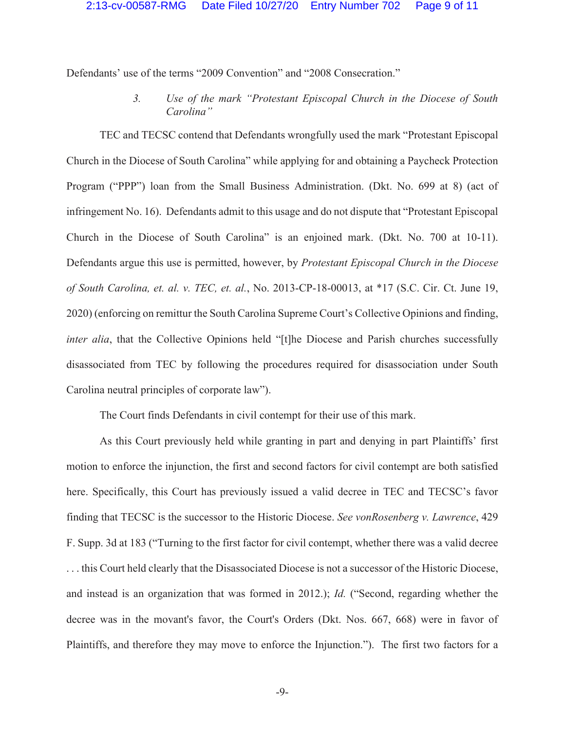Defendants' use of the terms "2009 Convention" and "2008 Consecration."

*3. Use of the mark "Protestant Episcopal Church in the Diocese of South Carolina"*

TEC and TECSC contend that Defendants wrongfully used the mark "Protestant Episcopal Church in the Diocese of South Carolina" while applying for and obtaining a Paycheck Protection Program ("PPP") loan from the Small Business Administration. (Dkt. No. 699 at 8) (act of infringement No. 16). Defendants admit to this usage and do not dispute that "Protestant Episcopal Church in the Diocese of South Carolina" is an enjoined mark. (Dkt. No. 700 at 10-11). Defendants argue this use is permitted, however, by *Protestant Episcopal Church in the Diocese of South Carolina, et. al. v. TEC, et. al.*, No. 2013-CP-18-00013, at \*17 (S.C. Cir. Ct. June 19, 2020) (enforcing on remittur the South Carolina Supreme Court's Collective Opinions and finding, *inter alia*, that the Collective Opinions held "[t]he Diocese and Parish churches successfully disassociated from TEC by following the procedures required for disassociation under South Carolina neutral principles of corporate law").

The Court finds Defendants in civil contempt for their use of this mark.

As this Court previously held while granting in part and denying in part Plaintiffs' first motion to enforce the injunction, the first and second factors for civil contempt are both satisfied here. Specifically, this Court has previously issued a valid decree in TEC and TECSC's favor finding that TECSC is the successor to the Historic Diocese. *See vonRosenberg v. Lawrence*, 429 F. Supp. 3d at 183 ("Turning to the first factor for civil contempt, whether there was a valid decree . . . this Court held clearly that the Disassociated Diocese is not a successor of the Historic Diocese, and instead is an organization that was formed in 2012.); *Id.* ("Second, regarding whether the decree was in the movant's favor, the Court's Orders (Dkt. Nos. 667, 668) were in favor of Plaintiffs, and therefore they may move to enforce the Injunction."). The first two factors for a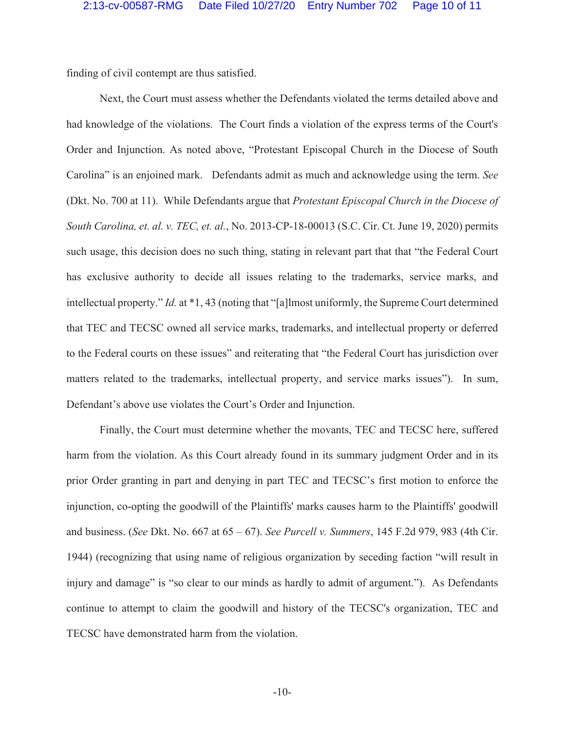finding of civil contempt are thus satisfied.

Next, the Court must assess whether the Defendants violated the terms detailed above and had knowledge of the violations. The Court finds a violation of the express terms of the Court's Order and Injunction. As noted above, "Protestant Episcopal Church in the Diocese of South Carolina" is an enjoined mark. Defendants admit as much and acknowledge using the term. *See*  (Dkt. No. 700 at 11). While Defendants argue that *Protestant Episcopal Church in the Diocese of South Carolina, et. al. v. TEC, et. al.*, No. 2013-CP-18-00013 (S.C. Cir. Ct. June 19, 2020) permits such usage, this decision does no such thing, stating in relevant part that that "the Federal Court has exclusive authority to decide all issues relating to the trademarks, service marks, and intellectual property." *Id.* at \*1, 43 (noting that "[a]lmost uniformly, the Supreme Court determined that TEC and TECSC owned all service marks, trademarks, and intellectual property or deferred to the Federal courts on these issues" and reiterating that "the Federal Court has jurisdiction over matters related to the trademarks, intellectual property, and service marks issues"). In sum, Defendant's above use violates the Court's Order and Injunction.

Finally, the Court must determine whether the movants, TEC and TECSC here, suffered harm from the violation. As this Court already found in its summary judgment Order and in its prior Order granting in part and denying in part TEC and TECSC's first motion to enforce the injunction, co-opting the goodwill of the Plaintiffs' marks causes harm to the Plaintiffs' goodwill and business. (*See* Dkt. No. 667 at 65 – 67). *See Purcell v. Summers*, 145 F.2d 979, 983 (4th Cir. 1944) (recognizing that using name of religious organization by seceding faction "will result in injury and damage" is "so clear to our minds as hardly to admit of argument."). As Defendants continue to attempt to claim the goodwill and history of the TECSC's organization, TEC and TECSC have demonstrated harm from the violation.